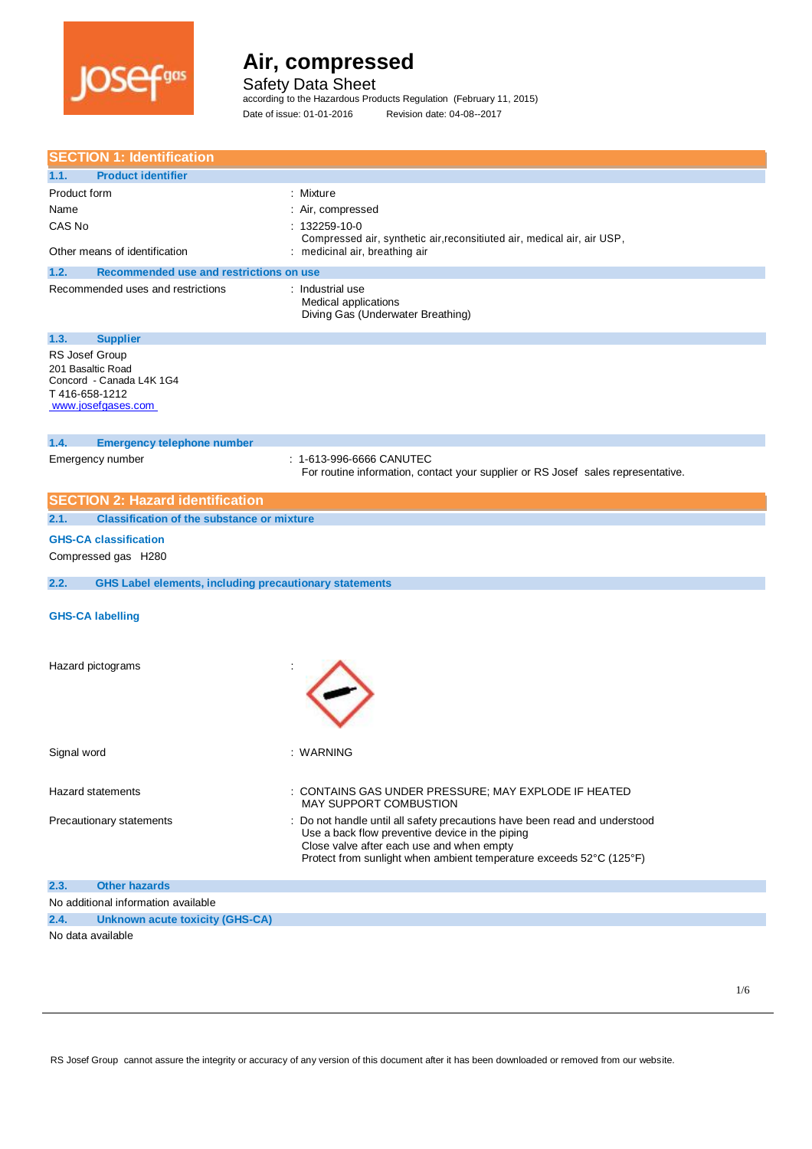

Safety Data Sheet

according to the Hazardous Products Regulation (February 11, 2015) Date of issue: 01-01-2016 Revision date: 04-08--2017

|                   | <b>SECTION 1: Identification</b>                              |                                                                                       |
|-------------------|---------------------------------------------------------------|---------------------------------------------------------------------------------------|
| 1.1.              | <b>Product identifier</b>                                     |                                                                                       |
| Product form      |                                                               | : Mixture                                                                             |
| Name              |                                                               | : Air, compressed                                                                     |
| CAS No            |                                                               | $: 132259 - 10 - 0$                                                                   |
|                   |                                                               | Compressed air, synthetic air, reconsitiuted air, medical air, air USP,               |
|                   | Other means of identification                                 | : medicinal air, breathing air                                                        |
| 1.2.              | <b>Recommended use and restrictions on use</b>                |                                                                                       |
|                   | Recommended uses and restrictions                             | : Industrial use<br>Medical applications<br>Diving Gas (Underwater Breathing)         |
| 1.3.              | <b>Supplier</b>                                               |                                                                                       |
| RS Josef Group    |                                                               |                                                                                       |
| 201 Basaltic Road |                                                               |                                                                                       |
| T 416-658-1212    | Concord - Canada L4K 1G4                                      |                                                                                       |
|                   | www.josefgases.com                                            |                                                                                       |
|                   |                                                               |                                                                                       |
| 1.4.              | <b>Emergency telephone number</b>                             |                                                                                       |
|                   | Emergency number                                              | : 1-613-996-6666 CANUTEC                                                              |
|                   |                                                               | For routine information, contact your supplier or RS Josef sales representative.      |
|                   |                                                               |                                                                                       |
|                   | <b>SECTION 2: Hazard identification</b>                       |                                                                                       |
| 2.1.              | <b>Classification of the substance or mixture</b>             |                                                                                       |
|                   | <b>GHS-CA classification</b>                                  |                                                                                       |
|                   | Compressed gas H280                                           |                                                                                       |
|                   |                                                               |                                                                                       |
| 2.2.              | <b>GHS Label elements, including precautionary statements</b> |                                                                                       |
|                   |                                                               |                                                                                       |
|                   | <b>GHS-CA labelling</b>                                       |                                                                                       |
|                   |                                                               |                                                                                       |
|                   |                                                               |                                                                                       |
|                   | Hazard pictograms                                             |                                                                                       |
|                   |                                                               |                                                                                       |
|                   |                                                               |                                                                                       |
|                   |                                                               |                                                                                       |
|                   |                                                               |                                                                                       |
| Signal word       |                                                               | : WARNING                                                                             |
|                   |                                                               |                                                                                       |
|                   |                                                               |                                                                                       |
|                   | Hazard statements                                             | : CONTAINS GAS UNDER PRESSURE; MAY EXPLODE IF HEATED<br><b>MAY SUPPORT COMBUSTION</b> |
|                   | Precautionary statements                                      | Do not handle until all safety precautions have been read and understood              |
|                   |                                                               | Use a back flow preventive device in the piping                                       |
|                   |                                                               | Close valve after each use and when empty                                             |
|                   |                                                               | Protect from sunlight when ambient temperature exceeds 52°C (125°F)                   |
| 2.3.              | <b>Other hazards</b>                                          |                                                                                       |
|                   | No additional information available                           |                                                                                       |
| 2.4.              | <b>Unknown acute toxicity (GHS-CA)</b>                        |                                                                                       |
| No data available |                                                               |                                                                                       |
|                   |                                                               |                                                                                       |

RS Josef Group cannot assure the integrity or accuracy of any version of this document after it has been downloaded or removed from our website.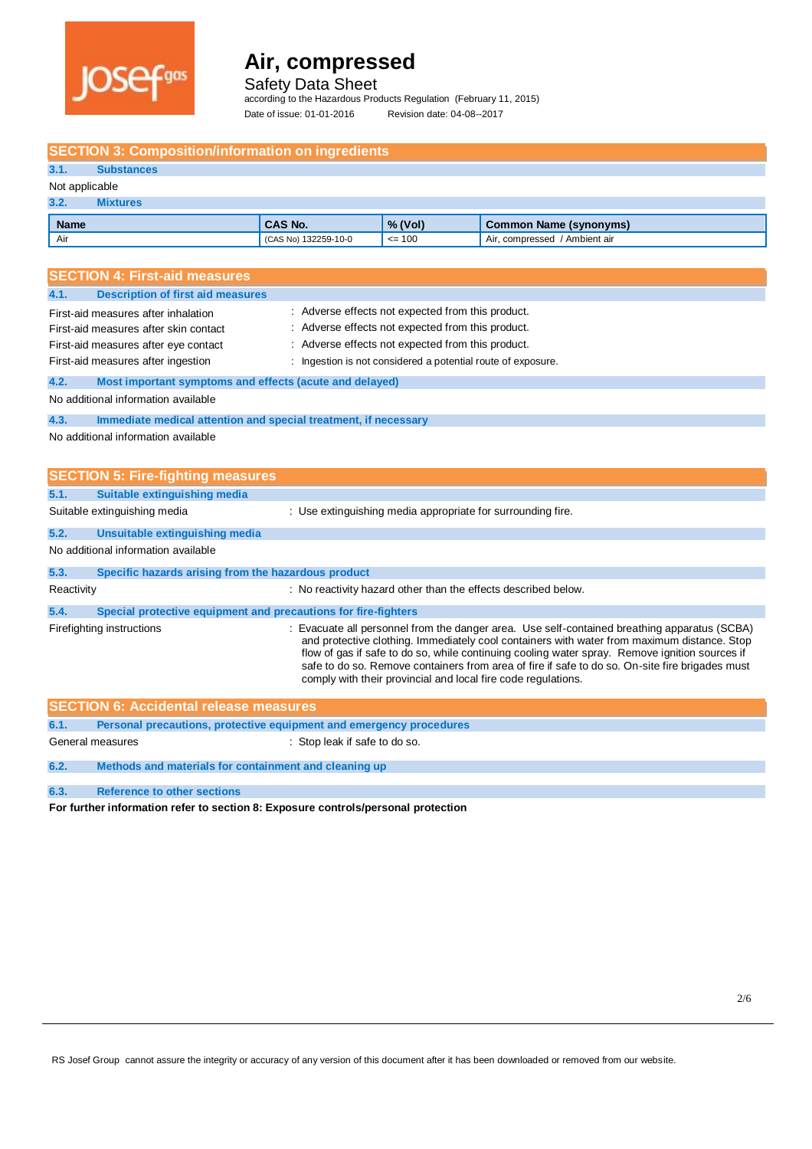

Safety Data Sheet

according to the Hazardous Products Regulation (February 11, 2015) Date of issue: 01-01-2016 Revision date: 04-08--2017

| <b>SECTION 3: Composition/information on ingredients</b>                    |                               |                                                              |                                                                                                                                                                                                                                                                                                                                                                                                                                                                   |  |  |  |  |
|-----------------------------------------------------------------------------|-------------------------------|--------------------------------------------------------------|-------------------------------------------------------------------------------------------------------------------------------------------------------------------------------------------------------------------------------------------------------------------------------------------------------------------------------------------------------------------------------------------------------------------------------------------------------------------|--|--|--|--|
| <b>Substances</b><br>3.1.                                                   |                               |                                                              |                                                                                                                                                                                                                                                                                                                                                                                                                                                                   |  |  |  |  |
| Not applicable                                                              |                               |                                                              |                                                                                                                                                                                                                                                                                                                                                                                                                                                                   |  |  |  |  |
| 3.2.<br><b>Mixtures</b>                                                     |                               |                                                              |                                                                                                                                                                                                                                                                                                                                                                                                                                                                   |  |  |  |  |
| <b>Name</b>                                                                 | <b>CAS No.</b>                | % (Vol)                                                      | <b>Common Name (synonyms)</b>                                                                                                                                                                                                                                                                                                                                                                                                                                     |  |  |  |  |
| Air                                                                         | (CAS No) 132259-10-0          | $= 100$                                                      | Air, compressed / Ambient air                                                                                                                                                                                                                                                                                                                                                                                                                                     |  |  |  |  |
|                                                                             |                               |                                                              |                                                                                                                                                                                                                                                                                                                                                                                                                                                                   |  |  |  |  |
| <b>SECTION 4: First-aid measures</b>                                        |                               |                                                              |                                                                                                                                                                                                                                                                                                                                                                                                                                                                   |  |  |  |  |
| <b>Description of first aid measures</b><br>4.1.                            |                               |                                                              |                                                                                                                                                                                                                                                                                                                                                                                                                                                                   |  |  |  |  |
| First-aid measures after inhalation                                         |                               | : Adverse effects not expected from this product.            |                                                                                                                                                                                                                                                                                                                                                                                                                                                                   |  |  |  |  |
| First-aid measures after skin contact                                       |                               | : Adverse effects not expected from this product.            |                                                                                                                                                                                                                                                                                                                                                                                                                                                                   |  |  |  |  |
| First-aid measures after eye contact                                        |                               | Adverse effects not expected from this product.              |                                                                                                                                                                                                                                                                                                                                                                                                                                                                   |  |  |  |  |
| First-aid measures after ingestion                                          |                               |                                                              |                                                                                                                                                                                                                                                                                                                                                                                                                                                                   |  |  |  |  |
|                                                                             |                               | : Ingestion is not considered a potential route of exposure. |                                                                                                                                                                                                                                                                                                                                                                                                                                                                   |  |  |  |  |
| 4.2.<br>Most important symptoms and effects (acute and delayed)             |                               |                                                              |                                                                                                                                                                                                                                                                                                                                                                                                                                                                   |  |  |  |  |
| No additional information available                                         |                               |                                                              |                                                                                                                                                                                                                                                                                                                                                                                                                                                                   |  |  |  |  |
| 4.3.<br>Immediate medical attention and special treatment, if necessary     |                               |                                                              |                                                                                                                                                                                                                                                                                                                                                                                                                                                                   |  |  |  |  |
| No additional information available                                         |                               |                                                              |                                                                                                                                                                                                                                                                                                                                                                                                                                                                   |  |  |  |  |
|                                                                             |                               |                                                              |                                                                                                                                                                                                                                                                                                                                                                                                                                                                   |  |  |  |  |
| <b>SECTION 5: Fire-fighting measures</b>                                    |                               |                                                              |                                                                                                                                                                                                                                                                                                                                                                                                                                                                   |  |  |  |  |
| 5.1.                                                                        |                               |                                                              |                                                                                                                                                                                                                                                                                                                                                                                                                                                                   |  |  |  |  |
| <b>Suitable extinguishing media</b>                                         |                               |                                                              |                                                                                                                                                                                                                                                                                                                                                                                                                                                                   |  |  |  |  |
| Suitable extinguishing media                                                |                               | : Use extinguishing media appropriate for surrounding fire.  |                                                                                                                                                                                                                                                                                                                                                                                                                                                                   |  |  |  |  |
| 5.2.<br>Unsuitable extinguishing media                                      |                               |                                                              |                                                                                                                                                                                                                                                                                                                                                                                                                                                                   |  |  |  |  |
| No additional information available                                         |                               |                                                              |                                                                                                                                                                                                                                                                                                                                                                                                                                                                   |  |  |  |  |
| Specific hazards arising from the hazardous product<br>5.3.                 |                               |                                                              |                                                                                                                                                                                                                                                                                                                                                                                                                                                                   |  |  |  |  |
| Reactivity                                                                  |                               |                                                              | : No reactivity hazard other than the effects described below.                                                                                                                                                                                                                                                                                                                                                                                                    |  |  |  |  |
|                                                                             |                               |                                                              |                                                                                                                                                                                                                                                                                                                                                                                                                                                                   |  |  |  |  |
| Special protective equipment and precautions for fire-fighters<br>5.4.      |                               |                                                              |                                                                                                                                                                                                                                                                                                                                                                                                                                                                   |  |  |  |  |
| Firefighting instructions                                                   |                               |                                                              | : Evacuate all personnel from the danger area. Use self-contained breathing apparatus (SCBA)<br>and protective clothing. Immediately cool containers with water from maximum distance. Stop<br>flow of gas if safe to do so, while continuing cooling water spray. Remove ignition sources if<br>safe to do so. Remove containers from area of fire if safe to do so. On-site fire brigades must<br>comply with their provincial and local fire code regulations. |  |  |  |  |
| <b>SECTION 6: Accidental release measures</b>                               |                               |                                                              |                                                                                                                                                                                                                                                                                                                                                                                                                                                                   |  |  |  |  |
| Personal precautions, protective equipment and emergency procedures<br>6.1. |                               |                                                              |                                                                                                                                                                                                                                                                                                                                                                                                                                                                   |  |  |  |  |
| General measures                                                            | : Stop leak if safe to do so. |                                                              |                                                                                                                                                                                                                                                                                                                                                                                                                                                                   |  |  |  |  |
| 6.2.<br>Methods and materials for containment and cleaning up               |                               |                                                              |                                                                                                                                                                                                                                                                                                                                                                                                                                                                   |  |  |  |  |

**6.3. Reference to other sections** 

**For further information refer to section 8: Exposure controls/personal protection**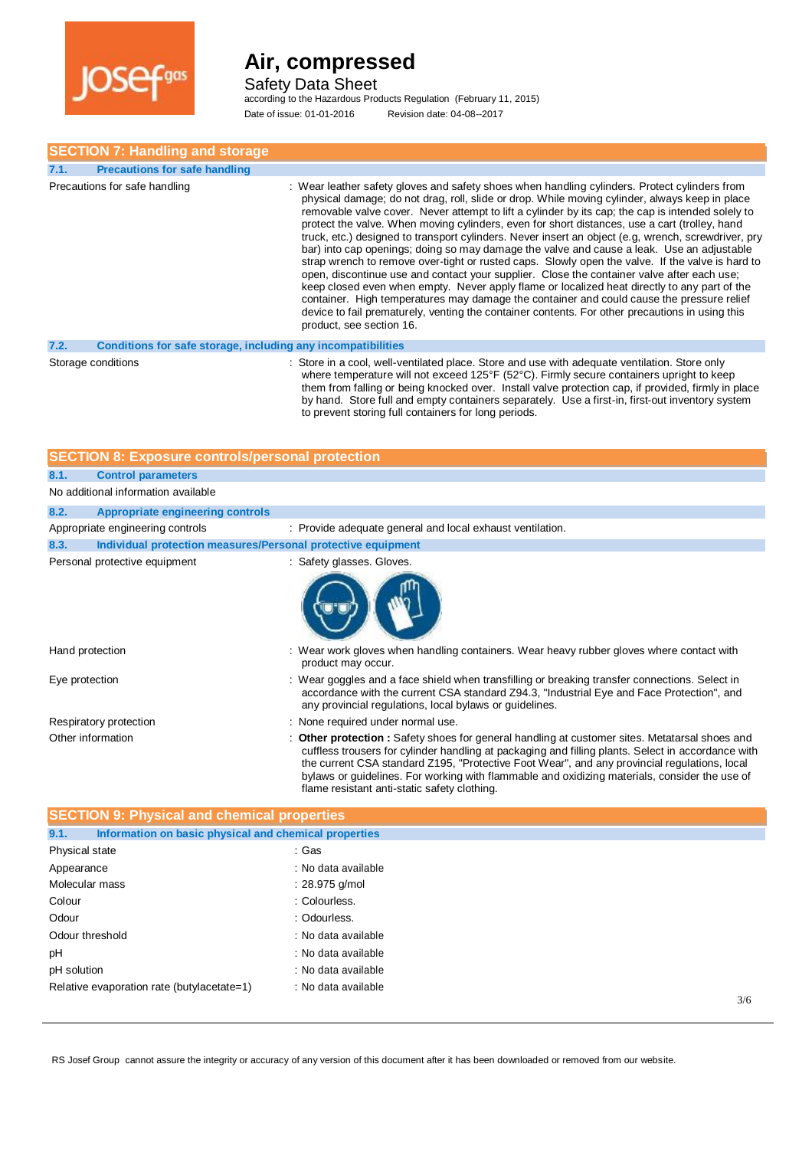

Safety Data Sheet

according to the Hazardous Products Regulation (February 11, 2015) Date of issue: 01-01-2016 Revision date: 04-08--2017

### **SECTION 7: Handling and storage**

| 7.1. | <b>Precautions for safe handling</b>                         |                                                                                                                                                                                                                                                                                                                                                                                                                                                                                                                                                                                                                                                                                                                                                                                                                                                                                                                                                                                                                                                                                                                                         |
|------|--------------------------------------------------------------|-----------------------------------------------------------------------------------------------------------------------------------------------------------------------------------------------------------------------------------------------------------------------------------------------------------------------------------------------------------------------------------------------------------------------------------------------------------------------------------------------------------------------------------------------------------------------------------------------------------------------------------------------------------------------------------------------------------------------------------------------------------------------------------------------------------------------------------------------------------------------------------------------------------------------------------------------------------------------------------------------------------------------------------------------------------------------------------------------------------------------------------------|
|      | Precautions for safe handling                                | : Wear leather safety gloves and safety shoes when handling cylinders. Protect cylinders from<br>physical damage; do not drag, roll, slide or drop. While moving cylinder, always keep in place<br>removable valve cover. Never attempt to lift a cylinder by its cap; the cap is intended solely to<br>protect the valve. When moving cylinders, even for short distances, use a cart (trolley, hand<br>truck, etc.) designed to transport cylinders. Never insert an object (e.g. wrench, screwdriver, pry<br>bar) into cap openings; doing so may damage the valve and cause a leak. Use an adjustable<br>strap wrench to remove over-tight or rusted caps. Slowly open the valve. If the valve is hard to<br>open, discontinue use and contact your supplier. Close the container valve after each use;<br>keep closed even when empty. Never apply flame or localized heat directly to any part of the<br>container. High temperatures may damage the container and could cause the pressure relief<br>device to fail prematurely, venting the container contents. For other precautions in using this<br>product, see section 16. |
| 7.2. | Conditions for safe storage, including any incompatibilities |                                                                                                                                                                                                                                                                                                                                                                                                                                                                                                                                                                                                                                                                                                                                                                                                                                                                                                                                                                                                                                                                                                                                         |

#### **7.2. Conditions for safe storage, including any incompatibilities**

Storage conditions **Store in a cool, well-ventilated place**. Store and use with adequate ventilation. Store only where temperature will not exceed 125°F (52°C). Firmly secure containers upright to keep them from falling or being knocked over. Install valve protection cap, if provided, firmly in place by hand. Store full and empty containers separately. Use a first-in, first-out inventory system to prevent storing full containers for long periods.

| <b>SECTION 8: Exposure controls/personal protection</b> |                                                              |  |                                                                                                                                                                                                                                                                                                                                                                                                                                                       |  |  |
|---------------------------------------------------------|--------------------------------------------------------------|--|-------------------------------------------------------------------------------------------------------------------------------------------------------------------------------------------------------------------------------------------------------------------------------------------------------------------------------------------------------------------------------------------------------------------------------------------------------|--|--|
| 8.1.                                                    | <b>Control parameters</b>                                    |  |                                                                                                                                                                                                                                                                                                                                                                                                                                                       |  |  |
| No additional information available                     |                                                              |  |                                                                                                                                                                                                                                                                                                                                                                                                                                                       |  |  |
| 8.2.                                                    | <b>Appropriate engineering controls</b>                      |  |                                                                                                                                                                                                                                                                                                                                                                                                                                                       |  |  |
|                                                         | Appropriate engineering controls                             |  | : Provide adequate general and local exhaust ventilation.                                                                                                                                                                                                                                                                                                                                                                                             |  |  |
| 8.3.                                                    | Individual protection measures/Personal protective equipment |  |                                                                                                                                                                                                                                                                                                                                                                                                                                                       |  |  |
|                                                         | Personal protective equipment                                |  | : Safety glasses. Gloves.                                                                                                                                                                                                                                                                                                                                                                                                                             |  |  |
|                                                         |                                                              |  |                                                                                                                                                                                                                                                                                                                                                                                                                                                       |  |  |
| Hand protection                                         |                                                              |  | : Wear work gloves when handling containers. Wear heavy rubber gloves where contact with<br>product may occur.                                                                                                                                                                                                                                                                                                                                        |  |  |
| Eye protection                                          |                                                              |  | : Wear goggles and a face shield when transfilling or breaking transfer connections. Select in<br>accordance with the current CSA standard Z94.3, "Industrial Eye and Face Protection", and<br>any provincial regulations, local bylaws or guidelines.                                                                                                                                                                                                |  |  |
|                                                         | Respiratory protection                                       |  | : None required under normal use.                                                                                                                                                                                                                                                                                                                                                                                                                     |  |  |
| Other information                                       |                                                              |  | : Other protection : Safety shoes for general handling at customer sites. Metatarsal shoes and<br>cuffless trousers for cylinder handling at packaging and filling plants. Select in accordance with<br>the current CSA standard Z195, "Protective Foot Wear", and any provincial regulations, local<br>bylaws or guidelines. For working with flammable and oxidizing materials, consider the use of<br>flame resistant anti-static safety clothing. |  |  |

| <b>SECTION 9: Physical and chemical properties</b>            |                     |  |  |  |
|---------------------------------------------------------------|---------------------|--|--|--|
| Information on basic physical and chemical properties<br>9.1. |                     |  |  |  |
| Physical state                                                | : Gas               |  |  |  |
| Appearance                                                    | : No data available |  |  |  |
| Molecular mass                                                | : 28.975 g/mol      |  |  |  |
| Colour                                                        | : Colourless.       |  |  |  |
| Odour                                                         | : Odourless.        |  |  |  |
| Odour threshold                                               | : No data available |  |  |  |
| рH                                                            | : No data available |  |  |  |
| pH solution                                                   | : No data available |  |  |  |
| Relative evaporation rate (butylacetate=1)                    | : No data available |  |  |  |
|                                                               | 3/6                 |  |  |  |

RS Josef Group cannot assure the integrity or accuracy of any version of this document after it has been downloaded or removed from our website.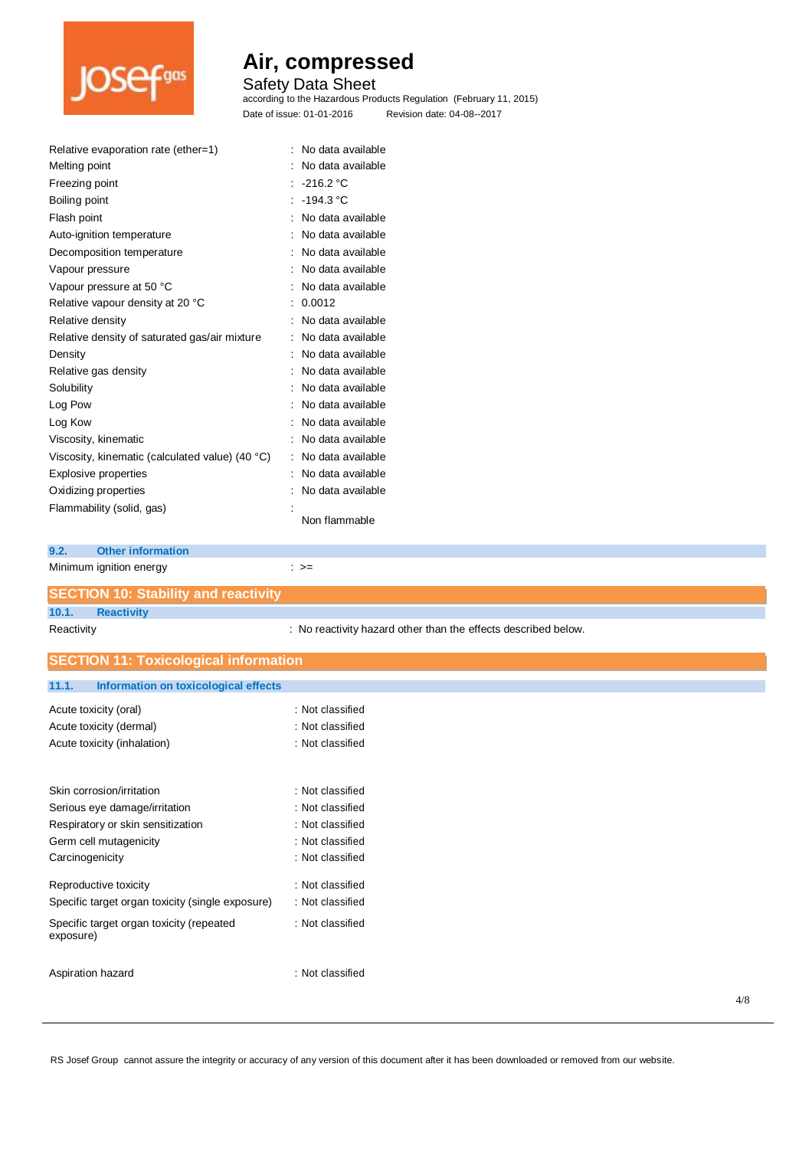

## Safety Data Sheet

according to the Hazardous Products Regulation (February 11, 2015) Date of issue: 01-01-2016 Revision date: 04-08--2017

| Relative evaporation rate (ether=1)             |   | No data available |
|-------------------------------------------------|---|-------------------|
| Melting point                                   |   | No data available |
| Freezing point                                  |   | : $-216.2 °C$     |
| Boiling point                                   |   | : -194.3 °C       |
| Flash point                                     |   | No data available |
| Auto-ignition temperature                       |   | No data available |
| Decomposition temperature                       |   | No data available |
| Vapour pressure                                 |   | No data available |
| Vapour pressure at 50 °C                        |   | No data available |
| Relative vapour density at 20 °C                |   | 0.0012            |
| Relative density                                |   | No data available |
| Relative density of saturated gas/air mixture   | ÷ | No data available |
| Density                                         |   | No data available |
| Relative gas density                            |   | No data available |
| Solubility                                      |   | No data available |
| Log Pow                                         |   | No data available |
| Log Kow                                         |   | No data available |
| Viscosity, kinematic                            |   | No data available |
| Viscosity, kinematic (calculated value) (40 °C) | t | No data available |
| Explosive properties                            |   | No data available |
| Oxidizing properties                            |   | No data available |
| Flammability (solid, gas)                       |   |                   |
|                                                 |   | Non flammable     |

## **9.2. Other information**

exposure)

| Minimum ignition energy |  | ∶ >= |
|-------------------------|--|------|
|                         |  |      |

Carcinogenicity **Carcinogenicity 1999** : Not classified

Reproductive toxicity in the set of the set of the Reproductive toxicity in the set of the set of the set of the set of the set of the set of the set of the set of the set of the set of the set of the set of the set of the Specific target organ toxicity (single exposure) : Not classified Specific target organ toxicity (repeated : Not classified

Aspiration hazard is a set of the set of the set of the set of the set of the set of the set of the set of the set of the set of the set of the set of the set of the set of the set of the set of the set of the set of the s

| <b>SECTION 10: Stability and reactivity</b>   |                                                                |
|-----------------------------------------------|----------------------------------------------------------------|
| 10.1.<br><b>Reactivity</b>                    |                                                                |
| Reactivity                                    | : No reactivity hazard other than the effects described below. |
| <b>SECTION 11: Toxicological information</b>  |                                                                |
| Information on toxicological effects<br>11.1. |                                                                |
| Acute toxicity (oral)                         | : Not classified                                               |
| Acute toxicity (dermal)                       | : Not classified                                               |
| Acute toxicity (inhalation)                   | : Not classified                                               |
| Skin corrosion/irritation                     | : Not classified                                               |
| Serious eye damage/irritation                 | : Not classified                                               |
| Respiratory or skin sensitization             | : Not classified                                               |
| Germ cell mutagenicity                        | : Not classified                                               |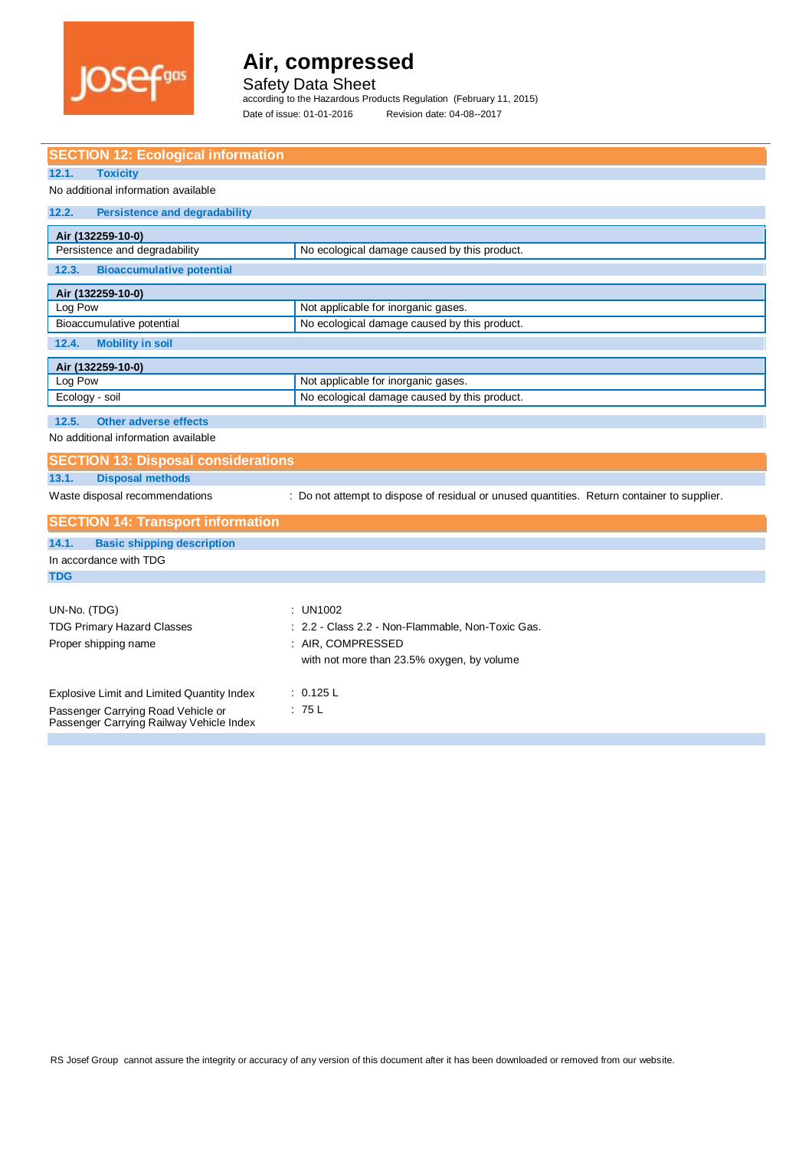

Safety Data Sheet

according to the Hazardous Products Regulation (February 11, 2015) Date of issue: 01-01-2016 Revision date: 04-08--2017

| <b>SECTION 12: Ecological information</b>                                      |                                                                                             |  |  |  |
|--------------------------------------------------------------------------------|---------------------------------------------------------------------------------------------|--|--|--|
| 12.1.<br><b>Toxicity</b>                                                       |                                                                                             |  |  |  |
| No additional information available                                            |                                                                                             |  |  |  |
| 12.2.<br><b>Persistence and degradability</b>                                  |                                                                                             |  |  |  |
| Air (132259-10-0)                                                              |                                                                                             |  |  |  |
| Persistence and degradability                                                  | No ecological damage caused by this product.                                                |  |  |  |
| <b>Bioaccumulative potential</b><br>12.3.                                      |                                                                                             |  |  |  |
| Air (132259-10-0)                                                              |                                                                                             |  |  |  |
| Log Pow                                                                        | Not applicable for inorganic gases.                                                         |  |  |  |
| Bioaccumulative potential                                                      | No ecological damage caused by this product.                                                |  |  |  |
| 12.4.<br><b>Mobility in soil</b>                                               |                                                                                             |  |  |  |
| Air (132259-10-0)                                                              |                                                                                             |  |  |  |
| Log Pow                                                                        | Not applicable for inorganic gases.                                                         |  |  |  |
| Ecology - soil                                                                 | No ecological damage caused by this product.                                                |  |  |  |
| 12.5.<br><b>Other adverse effects</b>                                          |                                                                                             |  |  |  |
| No additional information available                                            |                                                                                             |  |  |  |
| <b>SECTION 13: Disposal considerations</b>                                     |                                                                                             |  |  |  |
| <b>Disposal methods</b><br>13.1.                                               |                                                                                             |  |  |  |
| Waste disposal recommendations                                                 | : Do not attempt to dispose of residual or unused quantities. Return container to supplier. |  |  |  |
| <b>SECTION 14: Transport information</b>                                       |                                                                                             |  |  |  |
| 14.1.<br><b>Basic shipping description</b>                                     |                                                                                             |  |  |  |
| In accordance with TDG                                                         |                                                                                             |  |  |  |
| <b>TDG</b>                                                                     |                                                                                             |  |  |  |
|                                                                                |                                                                                             |  |  |  |
| UN-No. (TDG)                                                                   | : UN1002                                                                                    |  |  |  |
| <b>TDG Primary Hazard Classes</b>                                              | : 2.2 - Class 2.2 - Non-Flammable, Non-Toxic Gas.                                           |  |  |  |
| Proper shipping name                                                           | : AIR, COMPRESSED                                                                           |  |  |  |
|                                                                                | with not more than 23.5% oxygen, by volume                                                  |  |  |  |
| : 0.125 L<br>Explosive Limit and Limited Quantity Index                        |                                                                                             |  |  |  |
|                                                                                | : 75L                                                                                       |  |  |  |
| Passenger Carrying Road Vehicle or<br>Passenger Carrying Railway Vehicle Index |                                                                                             |  |  |  |
|                                                                                |                                                                                             |  |  |  |
|                                                                                |                                                                                             |  |  |  |

RS Josef Group cannot assure the integrity or accuracy of any version of this document after it has been downloaded or removed from our website.